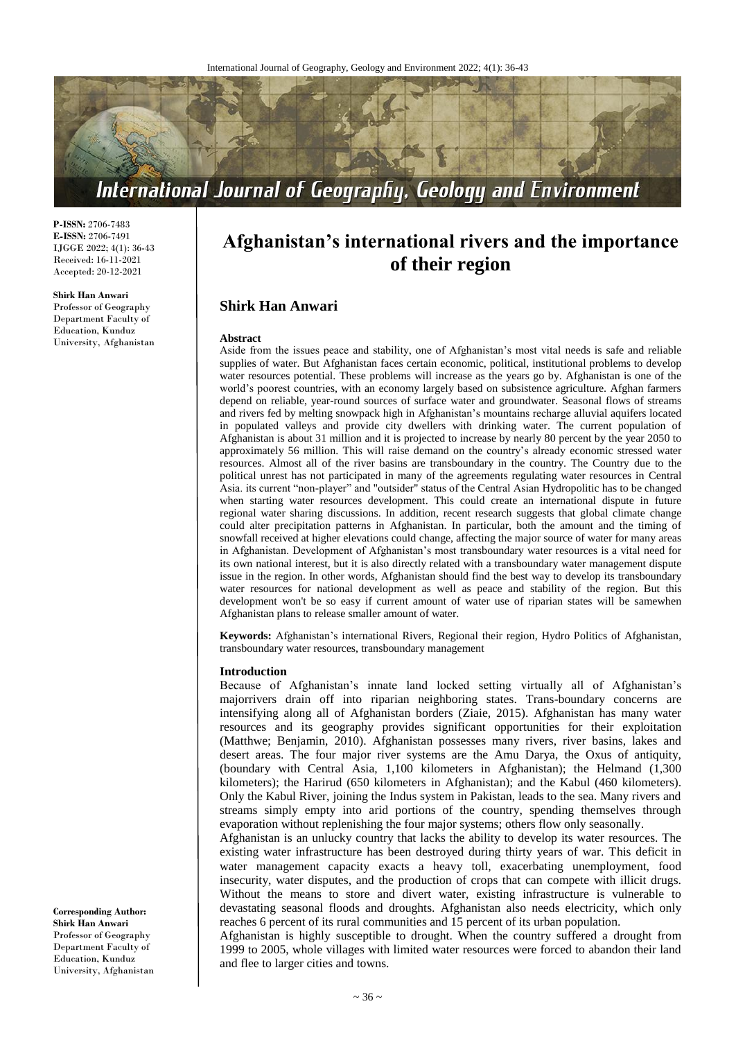

**P-ISSN:** 2706-7483 **E-ISSN:** 2706-7491 IJGGE 2022; 4(1): 36-43 Received: 16-11-2021 Accepted: 20-12-2021

#### **Shirk Han Anwari**

Professor of Geography Department Faculty of Education, Kunduz University, Afghanistan

# **Afghanistan's international rivers and the importance of their region**

# **Shirk Han Anwari**

#### **Abstract**

Aside from the issues peace and stability, one of Afghanistan's most vital needs is safe and reliable supplies of water. But Afghanistan faces certain economic, political, institutional problems to develop water resources potential. These problems will increase as the years go by. Afghanistan is one of the world's poorest countries, with an economy largely based on subsistence agriculture. Afghan farmers depend on reliable, year-round sources of surface water and groundwater. Seasonal flows of streams and rivers fed by melting snowpack high in Afghanistan's mountains recharge alluvial aquifers located in populated valleys and provide city dwellers with drinking water. The current population of Afghanistan is about 31 million and it is projected to increase by nearly 80 percent by the year 2050 to approximately 56 million. This will raise demand on the country's already economic stressed water resources. Almost all of the river basins are transboundary in the country. The Country due to the political unrest has not participated in many of the agreements regulating water resources in Central Asia. its current "non-player" and "outsider" status of the Central Asian Hydropolitic has to be changed when starting water resources development. This could create an international dispute in future regional water sharing discussions. In addition, recent research suggests that global climate change could alter precipitation patterns in Afghanistan. In particular, both the amount and the timing of snowfall received at higher elevations could change, affecting the major source of water for many areas in Afghanistan. Development of Afghanistan's most transboundary water resources is a vital need for its own national interest, but it is also directly related with a transboundary water management dispute issue in the region. In other words, Afghanistan should find the best way to develop its transboundary water resources for national development as well as peace and stability of the region. But this development won't be so easy if current amount of water use of riparian states will be samewhen Afghanistan plans to release smaller amount of water.

**Keywords:** Afghanistan's international Rivers, Regional their region, Hydro Politics of Afghanistan, transboundary water resources, transboundary management

#### **Introduction**

Because of Afghanistan's innate land locked setting virtually all of Afghanistan's majorrivers drain off into riparian neighboring states. Trans-boundary concerns are intensifying along all of Afghanistan borders (Ziaie, 2015). Afghanistan has many water resources and its geography provides significant opportunities for their exploitation (Matthwe; Benjamin, 2010). Afghanistan possesses many rivers, river basins, lakes and desert areas. The four major river systems are the Amu Darya, the Oxus of antiquity, (boundary with Central Asia, 1,100 kilometers in Afghanistan); the Helmand (1,300 kilometers); the Harirud (650 kilometers in Afghanistan); and the Kabul (460 kilometers). Only the Kabul River, joining the Indus system in Pakistan, leads to the sea. Many rivers and streams simply empty into arid portions of the country, spending themselves through evaporation without replenishing the four major systems; others flow only seasonally.

Afghanistan is an unlucky country that lacks the ability to develop its water resources. The existing water infrastructure has been destroyed during thirty years of war. This deficit in water management capacity exacts a heavy toll, exacerbating unemployment, food insecurity, water disputes, and the production of crops that can compete with illicit drugs. Without the means to store and divert water, existing infrastructure is vulnerable to devastating seasonal floods and droughts. Afghanistan also needs electricity, which only reaches 6 percent of its rural communities and 15 percent of its urban population.

Afghanistan is highly susceptible to drought. When the country suffered a drought from 1999 to 2005, whole villages with limited water resources were forced to abandon their land and flee to larger cities and towns.

**Corresponding Author: Shirk Han Anwari** Professor of Geography Department Faculty of Education, Kunduz University, Afghanistan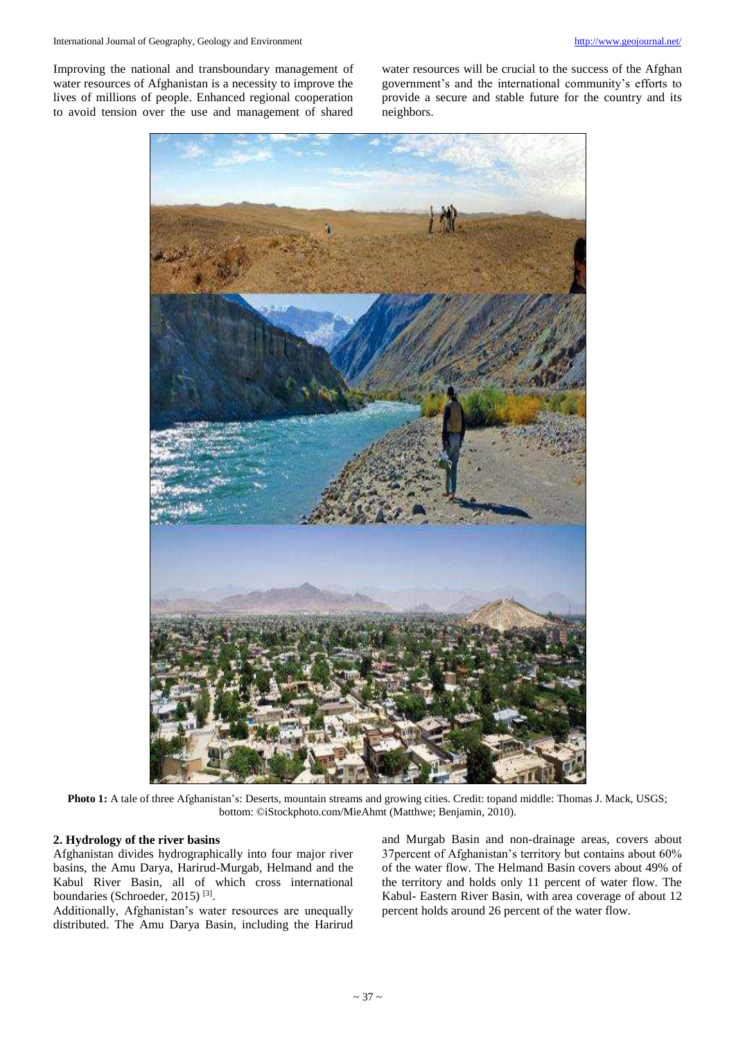Improving the national and transboundary management of water resources of Afghanistan is a necessity to improve the lives of millions of people. Enhanced regional cooperation to avoid tension over the use and management of shared

water resources will be crucial to the success of the Afghan government's and the international community's efforts to provide a secure and stable future for the country and its neighbors.



**Photo 1:** A tale of three Afghanistan's: Deserts, mountain streams and growing cities. Credit: topand middle: Thomas J. Mack, USGS; bottom: ©iStockphoto.com/MieAhmt (Matthwe; Benjamin, 2010).

# **2. Hydrology of the river basins**

Afghanistan divides hydrographically into four major river basins, the Amu Darya, Harirud-Murgab, Helmand and the Kabul River Basin, all of which cross international boundaries (Schroeder, 2015)<sup>[3]</sup>.

Additionally, Afghanistan's water resources are unequally distributed. The Amu Darya Basin, including the Harirud

and Murgab Basin and non-drainage areas, covers about 37percent of Afghanistan's territory but contains about 60% of the water flow. The Helmand Basin covers about 49% of the territory and holds only 11 percent of water flow. The Kabul- Eastern River Basin, with area coverage of about 12 percent holds around 26 percent of the water flow.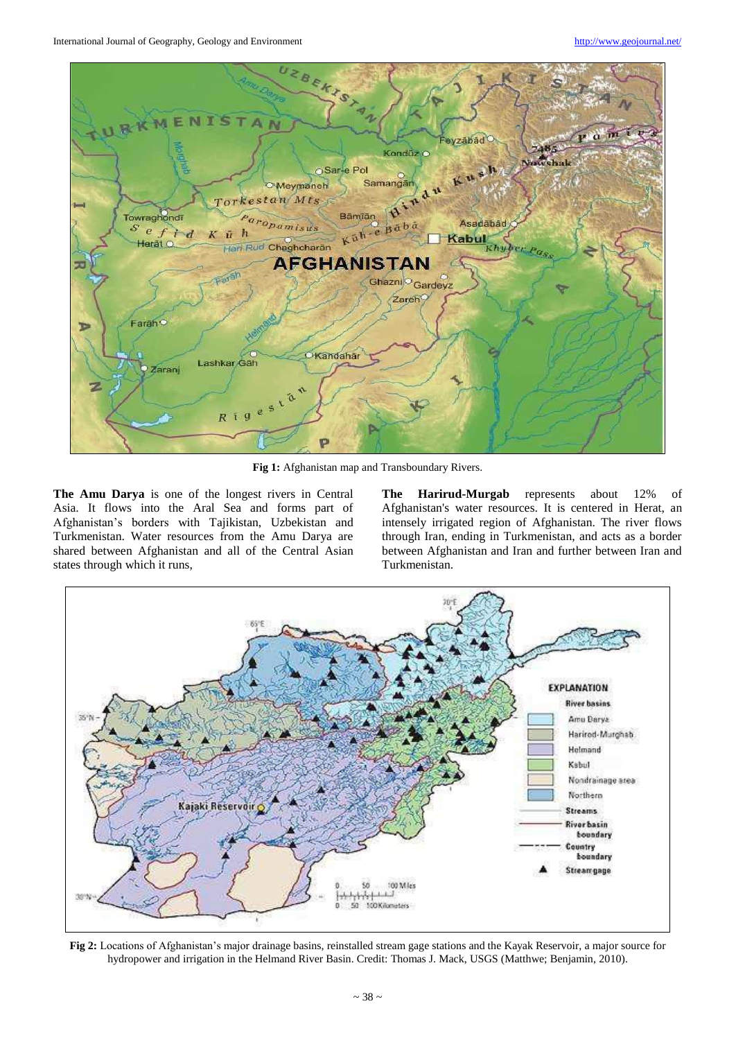International Journal of Geography, Geology and Environment <http://www.geojournal.net/>



**Fig 1:** Afghanistan map and Transboundary Rivers.

**The Amu Darya** is one of the longest rivers in Central Asia. It flows into the Aral Sea and forms part of Afghanistan's borders with Tajikistan, Uzbekistan and Turkmenistan. Water resources from the Amu Darya are shared between Afghanistan and all of the Central Asian states through which it runs,

**The Harirud-Murgab** represents about 12% of Afghanistan's water resources. It is centered in Herat, an intensely irrigated region of Afghanistan. The river flows through Iran, ending in Turkmenistan, and acts as a border between Afghanistan and Iran and further between Iran and Turkmenistan.



**Fig 2:** Locations of Afghanistan's major drainage basins, reinstalled stream gage stations and the Kayak Reservoir, a major source for hydropower and irrigation in the Helmand River Basin. Credit: Thomas J. Mack, USGS (Matthwe; Benjamin, 2010).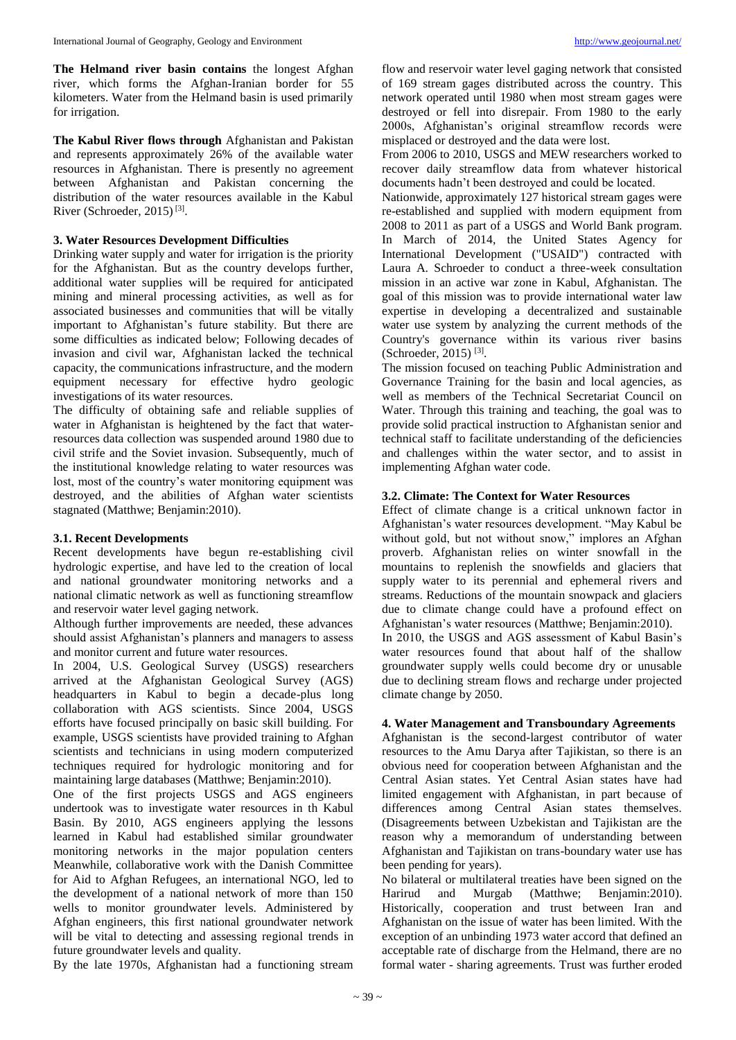**The Helmand river basin contains** the longest Afghan river, which forms the Afghan-Iranian border for 55 kilometers. Water from the Helmand basin is used primarily for irrigation.

**The Kabul River flows through** Afghanistan and Pakistan and represents approximately 26% of the available water resources in Afghanistan. There is presently no agreement between Afghanistan and Pakistan concerning the distribution of the water resources available in the Kabul River (Schroeder, 2015)<sup>[3]</sup>.

#### **3. Water Resources Development Difficulties**

Drinking water supply and water for irrigation is the priority for the Afghanistan. But as the country develops further, additional water supplies will be required for anticipated mining and mineral processing activities, as well as for associated businesses and communities that will be vitally important to Afghanistan's future stability. But there are some difficulties as indicated below; Following decades of invasion and civil war, Afghanistan lacked the technical capacity, the communications infrastructure, and the modern equipment necessary for effective hydro geologic investigations of its water resources.

The difficulty of obtaining safe and reliable supplies of water in Afghanistan is heightened by the fact that waterresources data collection was suspended around 1980 due to civil strife and the Soviet invasion. Subsequently, much of the institutional knowledge relating to water resources was lost, most of the country's water monitoring equipment was destroyed, and the abilities of Afghan water scientists stagnated (Matthwe; Benjamin:2010).

## **3.1. Recent Developments**

Recent developments have begun re-establishing civil hydrologic expertise, and have led to the creation of local and national groundwater monitoring networks and a national climatic network as well as functioning streamflow and reservoir water level gaging network.

Although further improvements are needed, these advances should assist Afghanistan's planners and managers to assess and monitor current and future water resources.

In 2004, U.S. Geological Survey (USGS) researchers arrived at the Afghanistan Geological Survey (AGS) headquarters in Kabul to begin a decade-plus long collaboration with AGS scientists. Since 2004, USGS efforts have focused principally on basic skill building. For example, USGS scientists have provided training to Afghan scientists and technicians in using modern computerized techniques required for hydrologic monitoring and for maintaining large databases (Matthwe; Benjamin:2010).

One of the first projects USGS and AGS engineers undertook was to investigate water resources in th Kabul Basin. By 2010, AGS engineers applying the lessons learned in Kabul had established similar groundwater monitoring networks in the major population centers Meanwhile, collaborative work with the Danish Committee for Aid to Afghan Refugees, an international NGO, led to the development of a national network of more than 150 wells to monitor groundwater levels. Administered by Afghan engineers, this first national groundwater network will be vital to detecting and assessing regional trends in future groundwater levels and quality.

By the late 1970s, Afghanistan had a functioning stream

flow and reservoir water level gaging network that consisted of 169 stream gages distributed across the country. This network operated until 1980 when most stream gages were destroyed or fell into disrepair. From 1980 to the early 2000s, Afghanistan's original streamflow records were misplaced or destroyed and the data were lost.

From 2006 to 2010, USGS and MEW researchers worked to recover daily streamflow data from whatever historical documents hadn't been destroyed and could be located.

Nationwide, approximately 127 historical stream gages were re-established and supplied with modern equipment from 2008 to 2011 as part of a USGS and World Bank program. In March of 2014, the United States Agency for International Development ("USAID") contracted with Laura A. Schroeder to conduct a three-week consultation mission in an active war zone in Kabul, Afghanistan. The goal of this mission was to provide international water law expertise in developing a decentralized and sustainable water use system by analyzing the current methods of the Country's governance within its various river basins (Schroeder, 2015)<sup>[3]</sup>.

The mission focused on teaching Public Administration and Governance Training for the basin and local agencies, as well as members of the Technical Secretariat Council on Water. Through this training and teaching, the goal was to provide solid practical instruction to Afghanistan senior and technical staff to facilitate understanding of the deficiencies and challenges within the water sector, and to assist in implementing Afghan water code.

## **3.2. Climate: The Context for Water Resources**

Effect of climate change is a critical unknown factor in Afghanistan's water resources development. "May Kabul be without gold, but not without snow," implores an Afghan proverb. Afghanistan relies on winter snowfall in the mountains to replenish the snowfields and glaciers that supply water to its perennial and ephemeral rivers and streams. Reductions of the mountain snowpack and glaciers due to climate change could have a profound effect on Afghanistan's water resources (Matthwe; Benjamin:2010). In 2010, the USGS and AGS assessment of Kabul Basin's water resources found that about half of the shallow groundwater supply wells could become dry or unusable due to declining stream flows and recharge under projected climate change by 2050.

#### **4. Water Management and Transboundary Agreements**

Afghanistan is the second-largest contributor of water resources to the Amu Darya after Tajikistan, so there is an obvious need for cooperation between Afghanistan and the Central Asian states. Yet Central Asian states have had limited engagement with Afghanistan, in part because of differences among Central Asian states themselves. (Disagreements between Uzbekistan and Tajikistan are the reason why a memorandum of understanding between Afghanistan and Tajikistan on trans-boundary water use has been pending for years).

No bilateral or multilateral treaties have been signed on the Harirud and Murgab (Matthwe; Benjamin:2010). Historically, cooperation and trust between Iran and Afghanistan on the issue of water has been limited. With the exception of an unbinding 1973 water accord that defined an acceptable rate of discharge from the Helmand, there are no formal water - sharing agreements. Trust was further eroded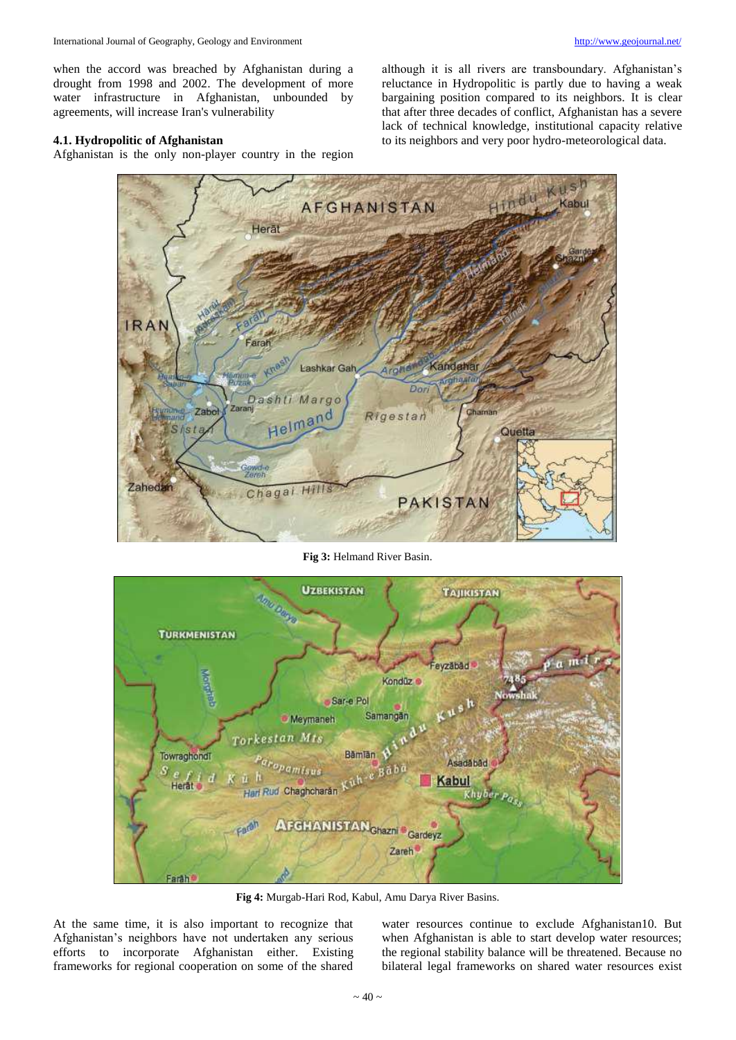when the accord was breached by Afghanistan during a drought from 1998 and 2002. The development of more water infrastructure in Afghanistan, unbounded by agreements, will increase Iran's vulnerability

# **4.1. Hydropolitic of Afghanistan**

Afghanistan is the only non-player country in the region

although it is all rivers are transboundary. Afghanistan's reluctance in Hydropolitic is partly due to having a weak bargaining position compared to its neighbors. It is clear that after three decades of conflict, Afghanistan has a severe lack of technical knowledge, institutional capacity relative to its neighbors and very poor hydro-meteorological data.



**Fig 3:** Helmand River Basin.



**Fig 4:** Murgab-Hari Rod, Kabul, Amu Darya River Basins.

At the same time, it is also important to recognize that Afghanistan's neighbors have not undertaken any serious efforts to incorporate Afghanistan either. Existing frameworks for regional cooperation on some of the shared

water resources continue to exclude Afghanistan10. But when Afghanistan is able to start develop water resources; the regional stability balance will be threatened. Because no bilateral legal frameworks on shared water resources exist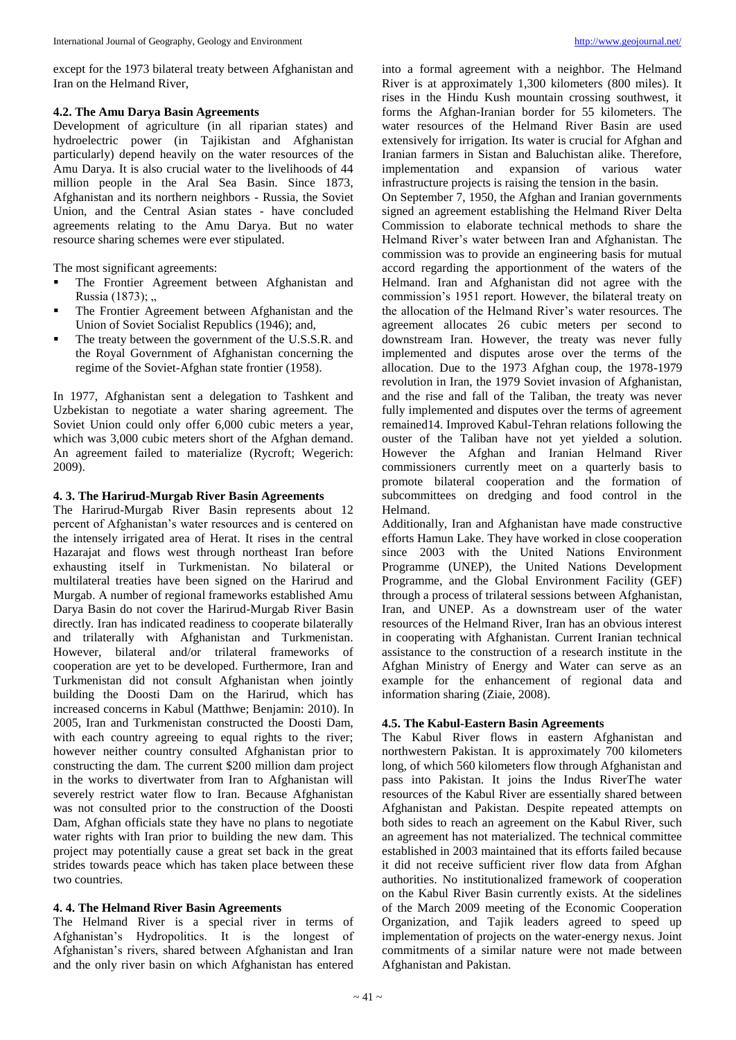except for the 1973 bilateral treaty between Afghanistan and Iran on the Helmand River,

#### **4.2. The Amu Darya Basin Agreements**

Development of agriculture (in all riparian states) and hydroelectric power (in Tajikistan and Afghanistan particularly) depend heavily on the water resources of the Amu Darya. It is also crucial water to the livelihoods of 44 million people in the Aral Sea Basin. Since 1873, Afghanistan and its northern neighbors - Russia, the Soviet Union, and the Central Asian states - have concluded agreements relating to the Amu Darya. But no water resource sharing schemes were ever stipulated.

The most significant agreements:

- The Frontier Agreement between Afghanistan and Russia  $(1873)$ ; ..
- **The Frontier Agreement between Afghanistan and the** Union of Soviet Socialist Republics (1946); and,
- The treaty between the government of the U.S.S.R. and the Royal Government of Afghanistan concerning the regime of the Soviet-Afghan state frontier (1958).

In 1977, Afghanistan sent a delegation to Tashkent and Uzbekistan to negotiate a water sharing agreement. The Soviet Union could only offer 6,000 cubic meters a year, which was 3,000 cubic meters short of the Afghan demand. An agreement failed to materialize (Rycroft; Wegerich: 2009).

## **4. 3. The Harirud-Murgab River Basin Agreements**

The Harirud-Murgab River Basin represents about 12 percent of Afghanistan's water resources and is centered on the intensely irrigated area of Herat. It rises in the central Hazarajat and flows west through northeast Iran before exhausting itself in Turkmenistan. No bilateral or multilateral treaties have been signed on the Harirud and Murgab. A number of regional frameworks established Amu Darya Basin do not cover the Harirud-Murgab River Basin directly. Iran has indicated readiness to cooperate bilaterally and trilaterally with Afghanistan and Turkmenistan. However, bilateral and/or trilateral frameworks of cooperation are yet to be developed. Furthermore, Iran and Turkmenistan did not consult Afghanistan when jointly building the Doosti Dam on the Harirud, which has increased concerns in Kabul (Matthwe; Benjamin: 2010). In 2005, Iran and Turkmenistan constructed the Doosti Dam, with each country agreeing to equal rights to the river; however neither country consulted Afghanistan prior to constructing the dam. The current \$200 million dam project in the works to divertwater from Iran to Afghanistan will severely restrict water flow to Iran. Because Afghanistan was not consulted prior to the construction of the Doosti Dam, Afghan officials state they have no plans to negotiate water rights with Iran prior to building the new dam. This project may potentially cause a great set back in the great strides towards peace which has taken place between these two countries.

# **4. 4. The Helmand River Basin Agreements**

The Helmand River is a special river in terms of Afghanistan's Hydropolitics. It is the longest of Afghanistan's rivers, shared between Afghanistan and Iran and the only river basin on which Afghanistan has entered

into a formal agreement with a neighbor. The Helmand River is at approximately 1,300 kilometers (800 miles). It rises in the Hindu Kush mountain crossing southwest, it forms the Afghan-Iranian border for 55 kilometers. The water resources of the Helmand River Basin are used extensively for irrigation. Its water is crucial for Afghan and Iranian farmers in Sistan and Baluchistan alike. Therefore, implementation and expansion of various water infrastructure projects is raising the tension in the basin.

On September 7, 1950, the Afghan and Iranian governments signed an agreement establishing the Helmand River Delta Commission to elaborate technical methods to share the Helmand River's water between Iran and Afghanistan. The commission was to provide an engineering basis for mutual accord regarding the apportionment of the waters of the Helmand. Iran and Afghanistan did not agree with the commission's 1951 report. However, the bilateral treaty on the allocation of the Helmand River's water resources. The agreement allocates 26 cubic meters per second to downstream Iran. However, the treaty was never fully implemented and disputes arose over the terms of the allocation. Due to the 1973 Afghan coup, the 1978-1979 revolution in Iran, the 1979 Soviet invasion of Afghanistan, and the rise and fall of the Taliban, the treaty was never fully implemented and disputes over the terms of agreement remained14. Improved Kabul-Tehran relations following the ouster of the Taliban have not yet yielded a solution. However the Afghan and Iranian Helmand River commissioners currently meet on a quarterly basis to promote bilateral cooperation and the formation of subcommittees on dredging and food control in the Helmand.

Additionally, Iran and Afghanistan have made constructive efforts Hamun Lake. They have worked in close cooperation since 2003 with the United Nations Environment Programme (UNEP), the United Nations Development Programme, and the Global Environment Facility (GEF) through a process of trilateral sessions between Afghanistan, Iran, and UNEP. As a downstream user of the water resources of the Helmand River, Iran has an obvious interest in cooperating with Afghanistan. Current Iranian technical assistance to the construction of a research institute in the Afghan Ministry of Energy and Water can serve as an example for the enhancement of regional data and information sharing (Ziaie, 2008).

# **4.5. The Kabul-Eastern Basin Agreements**

The Kabul River flows in eastern Afghanistan and northwestern Pakistan. It is approximately 700 kilometers long, of which 560 kilometers flow through Afghanistan and pass into Pakistan. It joins the Indus RiverThe water resources of the Kabul River are essentially shared between Afghanistan and Pakistan. Despite repeated attempts on both sides to reach an agreement on the Kabul River, such an agreement has not materialized. The technical committee established in 2003 maintained that its efforts failed because it did not receive sufficient river flow data from Afghan authorities. No institutionalized framework of cooperation on the Kabul River Basin currently exists. At the sidelines of the March 2009 meeting of the Economic Cooperation Organization, and Tajik leaders agreed to speed up implementation of projects on the water-energy nexus. Joint commitments of a similar nature were not made between Afghanistan and Pakistan.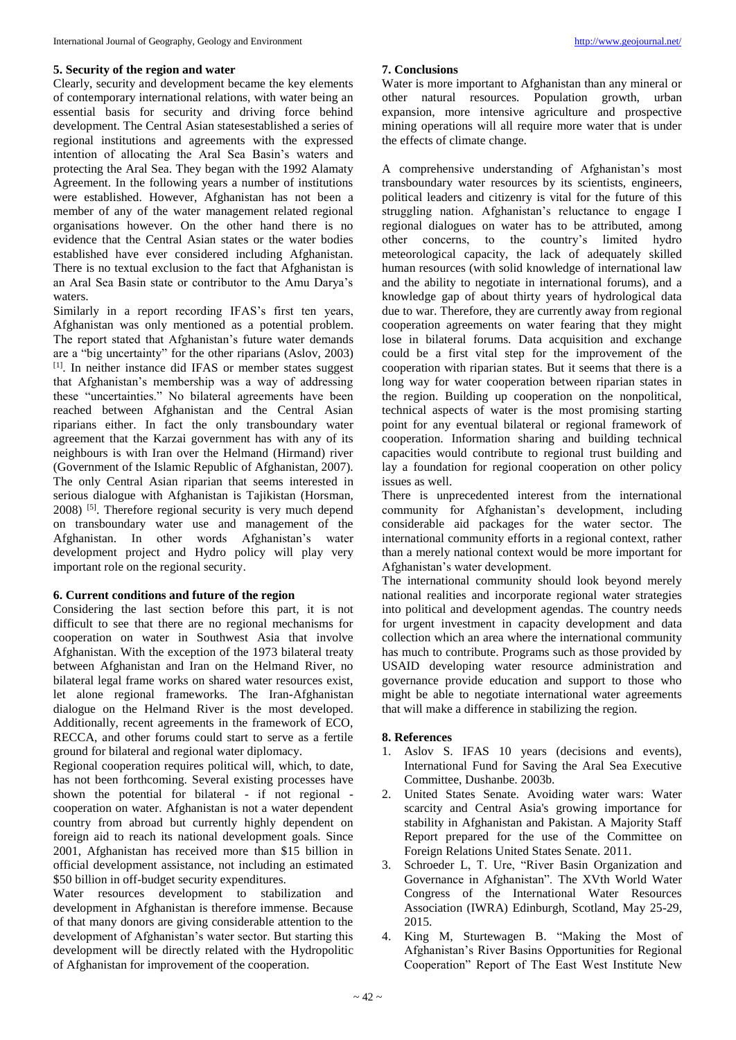## **5. Security of the region and water**

Clearly, security and development became the key elements of contemporary international relations, with water being an essential basis for security and driving force behind development. The Central Asian statesestablished a series of regional institutions and agreements with the expressed intention of allocating the Aral Sea Basin's waters and protecting the Aral Sea. They began with the 1992 Alamaty Agreement. In the following years a number of institutions were established. However, Afghanistan has not been a member of any of the water management related regional organisations however. On the other hand there is no evidence that the Central Asian states or the water bodies established have ever considered including Afghanistan. There is no textual exclusion to the fact that Afghanistan is an Aral Sea Basin state or contributor to the Amu Darya's waters.

Similarly in a report recording IFAS's first ten years, Afghanistan was only mentioned as a potential problem. The report stated that Afghanistan's future water demands are a "big uncertainty" for the other riparians (Aslov, 2003) [1]. In neither instance did IFAS or member states suggest that Afghanistan's membership was a way of addressing these "uncertainties." No bilateral agreements have been reached between Afghanistan and the Central Asian riparians either. In fact the only transboundary water agreement that the Karzai government has with any of its neighbours is with Iran over the Helmand (Hirmand) river (Government of the Islamic Republic of Afghanistan, 2007). The only Central Asian riparian that seems interested in serious dialogue with Afghanistan is Tajikistan (Horsman, 2008) <sup>[5]</sup>. Therefore regional security is very much depend on transboundary water use and management of the Afghanistan. In other words Afghanistan's water development project and Hydro policy will play very important role on the regional security.

# **6. Current conditions and future of the region**

Considering the last section before this part, it is not difficult to see that there are no regional mechanisms for cooperation on water in Southwest Asia that involve Afghanistan. With the exception of the 1973 bilateral treaty between Afghanistan and Iran on the Helmand River, no bilateral legal frame works on shared water resources exist, let alone regional frameworks. The Iran-Afghanistan dialogue on the Helmand River is the most developed. Additionally, recent agreements in the framework of ECO, RECCA, and other forums could start to serve as a fertile ground for bilateral and regional water diplomacy.

Regional cooperation requires political will, which, to date, has not been forthcoming. Several existing processes have shown the potential for bilateral - if not regional cooperation on water. Afghanistan is not a water dependent country from abroad but currently highly dependent on foreign aid to reach its national development goals. Since 2001, Afghanistan has received more than \$15 billion in official development assistance, not including an estimated \$50 billion in off-budget security expenditures.

Water resources development to stabilization and development in Afghanistan is therefore immense. Because of that many donors are giving considerable attention to the development of Afghanistan's water sector. But starting this development will be directly related with the Hydropolitic of Afghanistan for improvement of the cooperation.

## **7. Conclusions**

Water is more important to Afghanistan than any mineral or other natural resources. Population growth, urban expansion, more intensive agriculture and prospective mining operations will all require more water that is under the effects of climate change.

A comprehensive understanding of Afghanistan's most transboundary water resources by its scientists, engineers, political leaders and citizenry is vital for the future of this struggling nation. Afghanistan's reluctance to engage I regional dialogues on water has to be attributed, among other concerns, to the country's limited hydro meteorological capacity, the lack of adequately skilled human resources (with solid knowledge of international law and the ability to negotiate in international forums), and a knowledge gap of about thirty years of hydrological data due to war. Therefore, they are currently away from regional cooperation agreements on water fearing that they might lose in bilateral forums. Data acquisition and exchange could be a first vital step for the improvement of the cooperation with riparian states. But it seems that there is a long way for water cooperation between riparian states in the region. Building up cooperation on the nonpolitical, technical aspects of water is the most promising starting point for any eventual bilateral or regional framework of cooperation. Information sharing and building technical capacities would contribute to regional trust building and lay a foundation for regional cooperation on other policy issues as well.

There is unprecedented interest from the international community for Afghanistan's development, including considerable aid packages for the water sector. The international community efforts in a regional context, rather than a merely national context would be more important for Afghanistan's water development.

The international community should look beyond merely national realities and incorporate regional water strategies into political and development agendas. The country needs for urgent investment in capacity development and data collection which an area where the international community has much to contribute. Programs such as those provided by USAID developing water resource administration and governance provide education and support to those who might be able to negotiate international water agreements that will make a difference in stabilizing the region.

# **8. References**

- 1. Aslov S. IFAS 10 years (decisions and events), International Fund for Saving the Aral Sea Executive Committee, Dushanbe. 2003b.
- 2. United States Senate. Avoiding water wars: Water scarcity and Central Asia's growing importance for stability in Afghanistan and Pakistan. A Majority Staff Report prepared for the use of the Committee on Foreign Relations United States Senate. 2011.
- 3. Schroeder L, T. Ure, "River Basin Organization and Governance in Afghanistan". The XVth World Water Congress of the International Water Resources Association (IWRA) Edinburgh, Scotland, May 25-29, 2015.
- 4. King M, Sturtewagen B. "Making the Most of Afghanistan's River Basins Opportunities for Regional Cooperation" Report of The East West Institute New